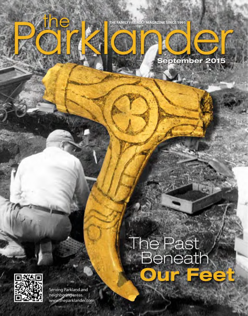







 $\mathbf{v}_n$ 



**DY** 

Serving Parkland and neighboring area www.theparklander.com

# The Past<br>Beneath  $\bullet$

**the PARKLANDER IS a strong of the PARKLANDER IS a strong of the PARKLANDER IS a strong of the PARKLANDER IS a strong of the PARKLANDER IS a strong of the PARKLANDER IS a strong of the PARKLANDER IS a strong of the PARKLAN**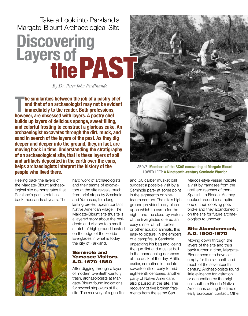Take a Look into Parkland's Margate-Blount Archaeological Site

## **Discovering**  Layers of **PAST**

*By Dr. Peter John Ferdinando*

**The similarities between the job of a pastry cheformal and that of an archaeologist may not be evidence immediately to the reader. Both professions, however, are obsessed with layers. A pastry chef he similarities between the job of a pastry chef and that of an archaeologist may not be evident immediately to the reader. Both professions, builds up layers of delicious sponge, sweet filling, and colorful frosting to construct a glorious cake. An archaeologist excavates through the dirt, muck, and sand in search of the layers of the past. As they dig deeper and deeper into the ground, they, in fact, are moving back in time. Understanding the stratigraphy of an archaeological site, that is these layers of soil and artifacts deposited in the earth over the eons, helps archaeologists interpret the history of the people who lived there.** 

Peeling back the layers of the Margate-Blount archaeological site demonstrates that Parkland's past stretches back thousands of years. The



hard work of archaeologists and their teams of excavators at the site reveals much, from brief stops by Seminole and Yamasee, to a longlasting pre-European contact Native American village. The Margate-Blount site thus tells a layered story about the residents and visitors to a small stretch of high ground located on the edge of the Florida Everglades in what is today the city of Parkland.

#### Seminole and Yamasee Visitors, A.D. 1670-1850

After digging through a layer of modern twentieth-century trash, archaeologists at Margate-Blount found indications for several stopovers at the site. The recovery of a gun flint



ABOVE: **Members of the BCAS excavating at Margate Blount** LOWER LEFT: **A Nineteenth-century Seminole Warrior**

and .50 caliber musket ball suggest a possible visit by a Seminole party at some point in the eighteenth or nineteenth century. The site's high ground provided a dry place upon which to camp for the night, and the close-by waters of the Everglades offered an easy dinner of fish, turtles, or other aquatic animals. It is easy to picture, in the embers of a campfire, a Seminole unpacking his bag and losing the gun flint and musket ball in the encroaching darkness at the dusk of the day. A little earlier, sometime in the late seventeenth or early to mideighteenth centuries, another party of Native Americans also paused at the site. The recovery of five broken fragments from the same San

Marcos-style vessel indicate a visit by Yamasee from the northern reaches of then-Spanish La Florida. As they cooked around a campfire, one of their cooking pots broke and they abandoned it on the site for future archaeologists to uncover.

#### Site Abandonment, A.D. 1500-1670

Moving down through the layers of the site and thus back further in time, Margate-Blount seems to have sat empty for the sixteenth and much of the seventeenth century. Archaeologists found little evidence for visitation or occupation by the original southern Florida Native Americans during the time of early European contact. Other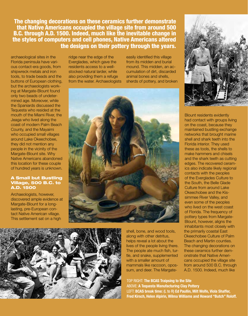The changing decorations on these ceramics further demonstrate that Native Americans occupied the village site from around 500 B.C. through A.D. 1500. Indeed, much like the inevitable change in the styles of computers and cell phones, Native Americans altered the designs on their pottery through the years.

archaeological sites in the Florida peninsula have various contact-era goods, from shipwreck metals and iron tools, to trade beads and the buttons of European clothing, but the archaeologists working at Margate-Blount found only two beads of undetermined age. Moreover, while the Spaniards discussed the Tequesta who resided at the mouth of the Miami River, the Jeaga who lived along the coast of modern Palm Beach County, and the Mayaimi who occupied small villages around Lake Okeechobee, they did not mention any people in the vicinity of the Margate-Blount site. Why Native Americans abandoned this location for these couple of hundred years is unknown.

#### A Small but Bustling Village, 500 B.C. to A.D. 1500

Archaeologists, however, discovered ample evidence at Margate-Blount for a longlasting, pre-European contact Native American village. This settlement sat on a high

ridge near the edge of the Everglades, which gave the residents access to a wellstocked natural larder, while also providing them a refuge from the water. Archaeologists

easily identified this village from its midden and burial mound. This midden, an accumulation of dirt, discarded animal bones and shells, sherds of pottery, and broken





shell, bone, and wood tools, along with other detritus, helps reveal a lot about the lives of the people living there. The people ate much fish, turtle, and snake, supplemented with a smaller amount of mammals like raccoon, opossum, and deer. The Margate-

#### TOP RIGHT: **The BCAS Traipsing to the Site** ABOVE: **A Tequesta Manufacturing Clay Pottery**

LEFT: **BCAS break time:** (L to R) **Ed Paullin, Milt Wolfe, Viola Shaffer, Fred Kirsch, Helen Alpirin, Wilma Williams and Howard "Butch" Roloff.**



Blount residents evidently had contact with groups living on the coast, because they maintained bustling exchange networks that brought marine shell and shark teeth into the Florida interior. They used these as tools, the shells to make hammers and chisels and the shark teeth as cutting edges. The recovered ceramics also indicate likely regional contacts with the peoples of the Everglades Culture to the South, the Belle Glade Culture from around Lake Okeechobee and the Kissimmee River Valley, and even some of the peoples who lived on the west coast of Florida. The frequency of pottery types from Margate-Blount, however, aligns the inhabitants most closely with the primarily coastal East Okeechobee Culture of Palm Beach and Martin counties. The changing decorations on these ceramics further demonstrate that Native Americans occupied the village site from around 500 B.C. through A.D. 1500. Indeed, much like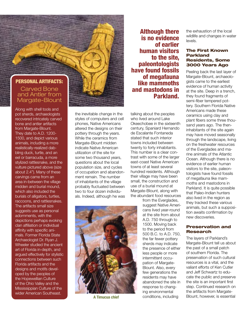#### PERSONAL ARTIFACTS:

#### Carved Bone and Antler from Margate-Blount

Along with shell tools and pot sherds, archaeologists recovered intricately carved bone and antler artifacts from Margate-Blount. They date to A.D. 1200- 1500, and depict various animals, including a more realistically-realized dabbling duck, turtle, and an eel or barracuda, a more stylized rattlesnake, and the vulture pictured above (size about 2.4"). Many of these carvings came from an area in-between the village midden and burial mound, which also included the burials of alligators, turtles, raccoons, and rattlesnakes. The artifacts small size suggests use as personal adornments, with the depictions perhaps evoking clan affiliation or individual affinity with specific animals. Former Florida State Archaeologist Dr. Ryan J. Wheeler studied the ancient art of Florida in-depth, and argued effectively for stylistic connections between such Florida artifacts and the designs and motifs developed by the peoples of the Hopewellian Culture of the Ohio Valley and the Mississippian Culture of the wider American Southeast.

the inevitable change in the styles of computers and cell phones, Native Americans altered the designs on their pottery through the years. While the ceramics from Margate-Blount midden indicate Native American utilization of the site for some two thousand years, questions about the local population size, and cycles of occupation and abandonment remain. The number of inhabitants of the village probably fluctuated between two to four dozen individuals. Indeed, although he was

Although there is no evidence of earlier human visitors to the site, paleontologists have found fossils of megafauna like mammoths and mastodons in Parkland.

talking about the peoples who lived around Lake Okeechobee in the sixteenth century, Spaniard Hernando de Escalante Fontaneda stated that such interior towns included between twenty to forty inhabitants. This number is a clear contrast with some of the larger east-coast Native American towns of at least several hundred residents. Although their village may have been small, the construction and use of a burial mound at Margate-Blount, along with the abundant food resources



**A Timucua chief**

from the Everglades, suggest Native Americans lived year-round at the site from about A.D. 750 through to 1500. Moving back to the period from 500 B.C. to A.D. 750, the far fewer pottery sherds may indicate the presence of either less people or more intermittent occupation of Margate-Blount. Also, every few generations the residents may have abandoned the site in response to changing environmental conditions, including

the exhaustion of the local wildlife and changes in water levels.

#### The First Known Parkland Residents, Some 3000 Years Ago

Peeling back the last layer of Margate-Blount, archaeologists came to the earliest evidence of human activity at the site. Deep in a trench, they found fragments of semi-fiber tempered pottery. Southern Florida Native Americans made these ceramics using clay and plant fibers some three thousand years ago. The theninhabitants of the site again may have moved seasonally through the landscape, living on the freshwater resources of the Everglades and marine animals of the Atlantic Ocean. Although there is no evidence of earlier human visitors to the site, paleontologists have found fossils of megafauna like mammoths and mastodons in Parkland. It is quite possible that Paleo-Indian hunters also lived in the region as they tracked these various animals, but such a supposition awaits confirmation by new discoveries.

#### Preservation and **Research**

The layers of Parkland's Margate-Blount tell us about the past of a small patch of southern Florida. The preservation of such cultural resources is a vital, and the valiant efforts of Ken Cutler and Jeff Schwartz to educate the public and preserve the site is an important first step. Continued research on the artifacts from Margate-Blount, however, is essential